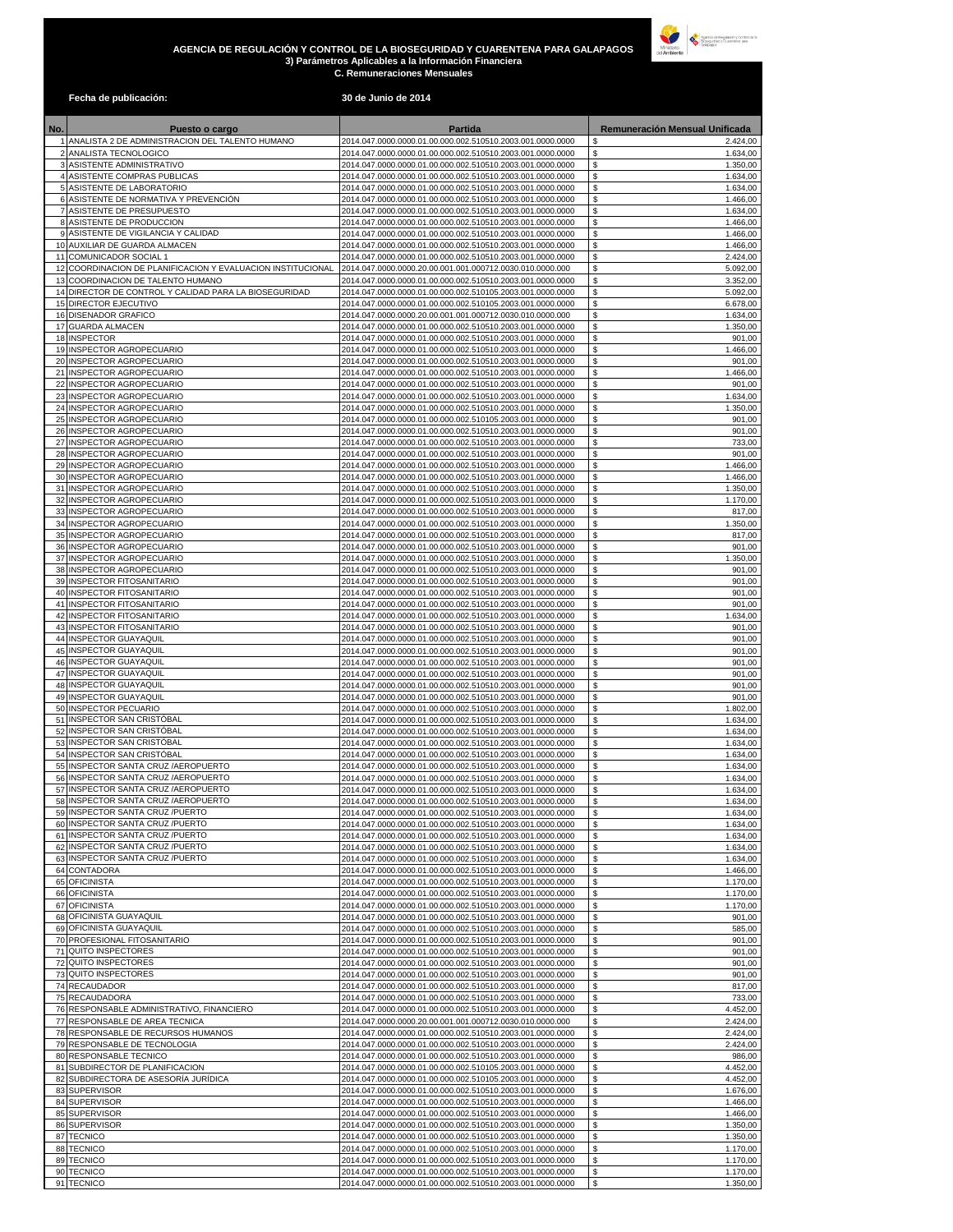## **AGENCIA DE REGULACIÓN Y CONTROL DE LA BIOSEGURIDAD Y CUARENTENA PARA GALAPAGOS 3) Parámetros Aplicables a la Información Financiera C. Remuneraciones Mensuales**



## **Fecha de publicación: 30 de Junio de 2014**

| No. | Puesto o cargo                                                                             | Partida                                                                                                                  | Remuneración Mensual Unificada   |
|-----|--------------------------------------------------------------------------------------------|--------------------------------------------------------------------------------------------------------------------------|----------------------------------|
|     | 1 ANALISTA 2 DE ADMINISTRACION DEL TALENTO HUMANO                                          | 2014.047.0000.0000.01.00.000.002.510510.2003.001.0000.0000                                                               | 2.424,00                         |
|     | 2 ANALISTA TECNOLOGICO<br>3 ASISTENTE ADMINISTRATIVO                                       | 2014.047.0000.0000.01.00.000.002.510510.2003.001.0000.0000<br>2014.047.0000.0000.01.00.000.002.510510.2003.001.0000.0000 | \$<br>1.634,00<br>\$<br>1.350,00 |
|     | 4 ASISTENTE COMPRAS PUBLICAS                                                               | 2014.047.0000.0000.01.00.000.002.510510.2003.001.0000.0000                                                               | \$<br>1.634,00                   |
|     | 5 ASISTENTE DE LABORATORIO                                                                 | 2014.047.0000.0000.01.00.000.002.510510.2003.001.0000.0000                                                               | \$<br>1.634,00                   |
|     | 6 ASISTENTE DE NORMATIVA Y PREVENCIÓN                                                      | 2014.047.0000.0000.01.00.000.002.510510.2003.001.0000.0000                                                               | \$<br>1.466,00                   |
|     | 7 ASISTENTE DE PRESUPUESTO<br>8 ASISTENTE DE PRODUCCION                                    | 2014.047.0000.0000.01.00.000.002.510510.2003.001.0000.0000                                                               | \$<br>1.634,00<br>\$             |
|     | 9 ASISTENTE DE VIGILANCIA Y CALIDAD                                                        | 2014.047.0000.0000.01.00.000.002.510510.2003.001.0000.0000<br>2014.047.0000.0000.01.00.000.002.510510.2003.001.0000.0000 | 1.466,00<br>\$<br>1.466,00       |
|     | 10 AUXILIAR DE GUARDA ALMACEN                                                              | 2014.047.0000.0000.01.00.000.002.510510.2003.001.0000.0000                                                               | \$<br>1.466,00                   |
|     | 11 COMUNICADOR SOCIAL 1                                                                    | 2014.047.0000.0000.01.00.000.002.510510.2003.001.0000.0000                                                               | \$<br>2.424,00                   |
|     | 12 COORDINACION DE PLANIFICACION Y EVALUACION INSTITUCIONAL                                | 2014.047.0000.0000.20.00.001.001.000712.0030.010.0000.000                                                                | \$<br>5.092,00                   |
|     | 13 COORDINACION DE TALENTO HUMANO<br>14 DIRECTOR DE CONTROL Y CALIDAD PARA LA BIOSEGURIDAD | 2014.047.0000.0000.01.00.000.002.510510.2003.001.0000.0000<br>2014.047.0000.0000.01.00.000.002.510105.2003.001.0000.0000 | \$<br>3.352,00<br>\$<br>5.092,00 |
|     | 15 DIRECTOR EJECUTIVO                                                                      | 2014.047.0000.0000.01.00.000.002.510105.2003.001.0000.0000                                                               | \$<br>6.678,00                   |
|     | 16 DISENADOR GRAFICO                                                                       | 2014.047.0000.0000.20.00.001.001.000712.0030.010.0000.000                                                                | \$<br>1.634,00                   |
|     | 17 GUARDA ALMACEN                                                                          | 2014.047.0000.0000.01.00.000.002.510510.2003.001.0000.0000                                                               | \$<br>1.350,00                   |
|     | 18 INSPECTOR                                                                               | 2014.047.0000.0000.01.00.000.002.510510.2003.001.0000.0000                                                               | \$<br>901,00<br>1.466,00         |
|     | 19 INSPECTOR AGROPECUARIO<br>20 INSPECTOR AGROPECUARIO                                     | 2014.047.0000.0000.01.00.000.002.510510.2003.001.0000.0000<br>2014.047.0000.0000.01.00.000.002.510510.2003.001.0000.0000 | \$<br>\$<br>901,00               |
|     | 21 INSPECTOR AGROPECUARIO                                                                  | 2014.047.0000.0000.01.00.000.002.510510.2003.001.0000.0000                                                               | \$<br>1.466,00                   |
|     | 22 INSPECTOR AGROPECUARIO                                                                  | 2014.047.0000.0000.01.00.000.002.510510.2003.001.0000.0000                                                               | \$<br>901,00                     |
|     | 23 INSPECTOR AGROPECUARIO                                                                  | 2014.047.0000.0000.01.00.000.002.510510.2003.001.0000.0000                                                               | \$<br>1.634,00                   |
|     | 24 INSPECTOR AGROPECUARIO<br>25 INSPECTOR AGROPECUARIO                                     | 2014.047.0000.0000.01.00.000.002.510510.2003.001.0000.0000<br>2014.047.0000.0000.01.00.000.002.510105.2003.001.0000.0000 | \$<br>1.350,00<br>\$<br>901,00   |
|     | 26 INSPECTOR AGROPECUARIO                                                                  | 2014.047.0000.0000.01.00.000.002.510510.2003.001.0000.0000                                                               | \$<br>901,00                     |
|     | 27 INSPECTOR AGROPECUARIO                                                                  | 2014.047.0000.0000.01.00.000.002.510510.2003.001.0000.0000                                                               | \$<br>733,00                     |
|     | 28 INSPECTOR AGROPECUARIO                                                                  | 2014.047.0000.0000.01.00.000.002.510510.2003.001.0000.0000                                                               | \$<br>901,00                     |
|     | 29 INSPECTOR AGROPECUARIO                                                                  | 2014.047.0000.0000.01.00.000.002.510510.2003.001.0000.0000                                                               | \$<br>1.466,00                   |
|     | 30 INSPECTOR AGROPECUARIO<br>31 INSPECTOR AGROPECUARIO                                     | 2014.047.0000.0000.01.00.000.002.510510.2003.001.0000.0000<br>2014.047.0000.0000.01.00.000.002.510510.2003.001.0000.0000 | \$<br>1.466,00<br>\$<br>1.350,00 |
|     | 32 INSPECTOR AGROPECUARIO                                                                  | 2014.047.0000.0000.01.00.000.002.510510.2003.001.0000.0000                                                               | \$<br>1.170,00                   |
|     | 33 INSPECTOR AGROPECUARIO                                                                  | 2014.047.0000.0000.01.00.000.002.510510.2003.001.0000.0000                                                               | \$<br>817,00                     |
|     | 34 INSPECTOR AGROPECUARIO                                                                  | 2014.047.0000.0000.01.00.000.002.510510.2003.001.0000.0000                                                               | \$<br>1.350,00                   |
|     | 35 INSPECTOR AGROPECUARIO<br>36 INSPECTOR AGROPECUARIO                                     | 2014.047.0000.0000.01.00.000.002.510510.2003.001.0000.0000<br>2014.047.0000.0000.01.00.000.002.510510.2003.001.0000.0000 | \$<br>817,00<br>\$<br>901,00     |
|     | 37 INSPECTOR AGROPECUARIO                                                                  | 2014.047.0000.0000.01.00.000.002.510510.2003.001.0000.0000                                                               | \$<br>1.350,00                   |
|     | 38 INSPECTOR AGROPECUARIO                                                                  | 2014.047.0000.0000.01.00.000.002.510510.2003.001.0000.0000                                                               | \$<br>901,00                     |
|     | 39 INSPECTOR FITOSANITARIO                                                                 | 2014.047.0000.0000.01.00.000.002.510510.2003.001.0000.0000                                                               | \$<br>901,00                     |
|     | 40 INSPECTOR FITOSANITARIO                                                                 | 2014.047.0000.0000.01.00.000.002.510510.2003.001.0000.0000                                                               | \$<br>901,00<br>901,00           |
|     | 41 INSPECTOR FITOSANITARIO<br>42 INSPECTOR FITOSANITARIO                                   | 2014.047.0000.0000.01.00.000.002.510510.2003.001.0000.0000<br>2014.047.0000.0000.01.00.000.002.510510.2003.001.0000.0000 | \$<br>\$<br>1.634,00             |
|     | 43 INSPECTOR FITOSANITARIO                                                                 | 2014.047.0000.0000.01.00.000.002.510510.2003.001.0000.0000                                                               | \$<br>901,00                     |
|     | 44 INSPECTOR GUAYAQUIL                                                                     | 2014.047.0000.0000.01.00.000.002.510510.2003.001.0000.0000                                                               | \$<br>901,00                     |
|     | 45 INSPECTOR GUAYAQUIL                                                                     | 2014.047.0000.0000.01.00.000.002.510510.2003.001.0000.0000                                                               | \$<br>901,00                     |
|     | 46 INSPECTOR GUAYAQUIL<br>47 INSPECTOR GUAYAQUIL                                           | 2014.047.0000.0000.01.00.000.002.510510.2003.001.0000.0000<br>2014.047.0000.0000.01.00.000.002.510510.2003.001.0000.0000 | \$<br>901,00<br>\$<br>901,00     |
|     | 48 INSPECTOR GUAYAQUIL                                                                     | 2014.047.0000.0000.01.00.000.002.510510.2003.001.0000.0000                                                               | \$<br>901,00                     |
|     | 49 INSPECTOR GUAYAQUIL                                                                     | 2014.047.0000.0000.01.00.000.002.510510.2003.001.0000.0000                                                               | \$<br>901,00                     |
|     | 50 INSPECTOR PECUARIO                                                                      | 2014.047.0000.0000.01.00.000.002.510510.2003.001.0000.0000                                                               | \$<br>1.802,00                   |
|     | 51 INSPECTOR SAN CRISTÓBAL<br>52 INSPECTOR SAN CRISTÓBAL                                   | 2014.047.0000.0000.01.00.000.002.510510.2003.001.0000.0000                                                               | \$<br>1.634,00                   |
|     | 53 INSPECTOR SAN CRISTÓBAL                                                                 | 2014.047.0000.0000.01.00.000.002.510510.2003.001.0000.0000<br>2014.047.0000.0000.01.00.000.002.510510.2003.001.0000.0000 | \$<br>1.634,00<br>\$<br>1.634,00 |
|     | 54 INSPECTOR SAN CRISTÓBAL                                                                 | 2014.047.0000.0000.01.00.000.002.510510.2003.001.0000.0000                                                               | \$<br>1.634,00                   |
|     | 55 INSPECTOR SANTA CRUZ / AEROPUERTO                                                       | 2014.047.0000.0000.01.00.000.002.510510.2003.001.0000.0000                                                               | \$<br>1.634,00                   |
|     | 56 INSPECTOR SANTA CRUZ / AEROPUERTO                                                       | 2014.047.0000.0000.01.00.000.002.510510.2003.001.0000.0000                                                               | \$<br>1.634,00                   |
| 57  | INSPECTOR SANTA CRUZ / AEROPUERTO<br>58 INSPECTOR SANTA CRUZ / AEROPUERTO                  | 2014.047.0000.0000.01.00.000.002.510510.2003.001.0000.0000<br>2014.047.0000.0000.01.00.000.002.510510.2003.001.0000.0000 | \$<br>1.634,00<br>1.634,00       |
|     | 59 INSPECTOR SANTA CRUZ /PUERTO                                                            | 2014.047.0000.0000.01.00.000.002.510510.2003.001.0000.0000                                                               | \$<br>1.634,00                   |
|     | 60 INSPECTOR SANTA CRUZ /PUERTO                                                            | 2014.047.0000.0000.01.00.000.002.510510.2003.001.0000.0000                                                               | 1.634,00<br>\$                   |
|     | 61 INSPECTOR SANTA CRUZ /PUERTO                                                            | 2014.047.0000.0000.01.00.000.002.510510.2003.001.0000.0000                                                               | \$<br>1.634,00                   |
|     | 62 INSPECTOR SANTA CRUZ / PUERTO<br>63 INSPECTOR SANTA CRUZ /PUERTO                        | 2014.047.0000.0000.01.00.000.002.510510.2003.001.0000.0000<br>2014.047.0000.0000.01.00.000.002.510510.2003.001.0000.0000 | \$<br>1.634,00<br>\$             |
|     | 64 CONTADORA                                                                               | 2014.047.0000.0000.01.00.000.002.510510.2003.001.0000.0000                                                               | 1.634,00<br>\$<br>1.466,00       |
|     | 65 OFICINISTA                                                                              | 2014.047.0000.0000.01.00.000.002.510510.2003.001.0000.0000                                                               | \$<br>1.170,00                   |
|     | 66 OFICINISTA                                                                              | 2014.047.0000.0000.01.00.000.002.510510.2003.001.0000.0000                                                               | \$<br>1.170,00                   |
|     | 67 OFICINISTA                                                                              | 2014.047.0000.0000.01.00.000.002.510510.2003.001.0000.0000                                                               | \$<br>1.170,00                   |
|     | 68 OFICINISTA GUAYAQUIL<br>69 OFICINISTA GUAYAQUIL                                         | 2014.047.0000.0000.01.00.000.002.510510.2003.001.0000.0000<br>2014.047.0000.0000.01.00.000.002.510510.2003.001.0000.0000 | \$<br>901,00<br>585,00<br>\$     |
|     | 70 PROFESIONAL FITOSANITARIO                                                               | 2014.047.0000.0000.01.00.000.002.510510.2003.001.0000.0000                                                               | \$<br>901,00                     |
|     | 71 QUITO INSPECTORES                                                                       | 2014.047.0000.0000.01.00.000.002.510510.2003.001.0000.0000                                                               | \$<br>901,00                     |
|     | 72 QUITO INSPECTORES                                                                       | 2014.047.0000.0000.01.00.000.002.510510.2003.001.0000.0000                                                               | \$<br>901,00                     |
|     | 73 QUITO INSPECTORES<br>74 RECAUDADOR                                                      | 2014.047.0000.0000.01.00.000.002.510510.2003.001.0000.0000                                                               | 901,00<br>\$<br>\$               |
|     | 75 RECAUDADORA                                                                             | 2014.047.0000.0000.01.00.000.002.510510.2003.001.0000.0000<br>2014.047.0000.0000.01.00.000.002.510510.2003.001.0000.0000 | 817,00<br>\$<br>733,00           |
|     | 76 RESPONSABLE ADMINISTRATIVO, FINANCIERO                                                  | 2014.047.0000.0000.01.00.000.002.510510.2003.001.0000.0000                                                               | \$<br>4.452,00                   |
|     | 77 RESPONSABLE DE AREA TECNICA                                                             | 2014.047.0000.0000.20.00.001.001.000712.0030.010.0000.000                                                                | \$<br>2.424,00                   |
|     | 78 RESPONSABLE DE RECURSOS HUMANOS                                                         | 2014.047.0000.0000.01.00.000.002.510510.2003.001.0000.0000                                                               | \$<br>2.424,00                   |
|     | 79 RESPONSABLE DE TECNOLOGIA<br>80 RESPONSABLE TECNICO                                     | 2014.047.0000.0000.01.00.000.002.510510.2003.001.0000.0000<br>2014.047.0000.0000.01.00.000.002.510510.2003.001.0000.0000 | \$<br>2.424,00<br>\$<br>986,00   |
|     | 81 SUBDIRECTOR DE PLANIFICACION                                                            | 2014.047.0000.0000.01.00.000.002.510105.2003.001.0000.0000                                                               | \$<br>4.452,00                   |
|     | 82 SUBDIRECTORA DE ASESORÍA JURÍDICA                                                       | 2014.047.0000.0000.01.00.000.002.510105.2003.001.0000.0000                                                               | \$<br>4.452,00                   |
|     | 83 SUPERVISOR                                                                              | 2014.047.0000.0000.01.00.000.002.510510.2003.001.0000.0000                                                               | \$<br>1.676,00                   |
|     | 84 SUPERVISOR                                                                              | 2014.047.0000.0000.01.00.000.002.510510.2003.001.0000.0000                                                               | \$<br>1.466,00                   |
|     | 85 SUPERVISOR<br>86 SUPERVISOR                                                             | 2014.047.0000.0000.01.00.000.002.510510.2003.001.0000.0000<br>2014.047.0000.0000.01.00.000.002.510510.2003.001.0000.0000 | \$<br>1.466,00<br>\$<br>1.350,00 |
|     | 87 TECNICO                                                                                 | 2014.047.0000.0000.01.00.000.002.510510.2003.001.0000.0000                                                               | \$<br>1.350,00                   |
|     | 88 TECNICO                                                                                 | 2014.047.0000.0000.01.00.000.002.510510.2003.001.0000.0000                                                               | \$<br>1.170,00                   |
|     | 89 TECNICO                                                                                 | 2014.047.0000.0000.01.00.000.002.510510.2003.001.0000.0000                                                               | \$<br>1.170,00                   |
|     | 90 TECNICO                                                                                 | 2014.047.0000.0000.01.00.000.002.510510.2003.001.0000.0000                                                               | \$<br>1.170,00<br>l \$           |
|     | 91 TECNICO                                                                                 | 2014.047.0000.0000.01.00.000.002.510510.2003.001.0000.0000                                                               | 1.350,00                         |